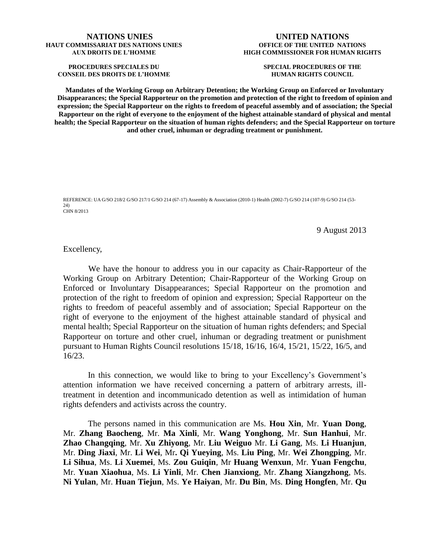#### **NATIONS UNIES HAUT COMMISSARIAT DES NATIONS UNIES AUX DROITS DE L'HOMME**

**PROCEDURES SPECIALES DU CONSEIL DES DROITS DE L'HOMME**

### **UNITED NATIONS OFFICE OF THE UNITED NATIONS HIGH COMMISSIONER FOR HUMAN RIGHTS**

**SPECIAL PROCEDURES OF THE HUMAN RIGHTS COUNCIL**

**Mandates of the Working Group on Arbitrary Detention; the Working Group on Enforced or Involuntary Disappearances; the Special Rapporteur on the promotion and protection of the right to freedom of opinion and expression; the Special Rapporteur on the rights to freedom of peaceful assembly and of association; the Special Rapporteur on the right of everyone to the enjoyment of the highest attainable standard of physical and mental health; the Special Rapporteur on the situation of human rights defenders; and the Special Rapporteur on torture and other cruel, inhuman or degrading treatment or punishment.**

REFERENCE: UA G/SO 218/2 G/SO 217/1 G/SO 214 (67-17) Assembly & Association (2010-1) Health (2002-7) G/SO 214 (107-9) G/SO 214 (53- 24) CHN 8/2013

9 August 2013

Excellency,

We have the honour to address you in our capacity as Chair-Rapporteur of the Working Group on Arbitrary Detention; Chair-Rapporteur of the Working Group on Enforced or Involuntary Disappearances; Special Rapporteur on the promotion and protection of the right to freedom of opinion and expression; Special Rapporteur on the rights to freedom of peaceful assembly and of association; Special Rapporteur on the right of everyone to the enjoyment of the highest attainable standard of physical and mental health; Special Rapporteur on the situation of human rights defenders; and Special Rapporteur on torture and other cruel, inhuman or degrading treatment or punishment pursuant to Human Rights Council resolutions 15/18, 16/16, 16/4, 15/21, 15/22, 16/5, and 16/23.

In this connection, we would like to bring to your Excellency's Government's attention information we have received concerning a pattern of arbitrary arrests, illtreatment in detention and incommunicado detention as well as intimidation of human rights defenders and activists across the country.

The persons named in this communication are Ms. **Hou Xin**, Mr. **Yuan Dong**, Mr. **Zhang Baocheng**, Mr. **Ma Xinli**, Mr. **Wang Yonghong**, Mr. **Sun Hanhui**, Mr. **Zhao Changqing**, Mr. **Xu Zhiyong**, Mr. **Liu Weiguo** Mr. **Li Gang**, Ms. **Li Huanjun**, Mr. **Ding Jiaxi**, Mr. **Li Wei**, Mr**. Qi Yueying**, Ms. **Liu Ping**, Mr. **Wei Zhongping**, Mr. **Li Sihua**, Ms. **Li Xuemei**, Ms. **Zou Guiqin**, Mr **Huang Wenxun**, Mr. **Yuan Fengchu**, Mr. **Yuan Xiaohua**, Ms. **Li Yinli**, Mr. **Chen Jianxiong**, Mr. **Zhang Xiangzhong**, Ms. **Ni Yulan**, Mr. **Huan Tiejun**, Ms. **Ye Haiyan**, Mr. **Du Bin**, Ms. **Ding Hongfen**, Mr. **Qu**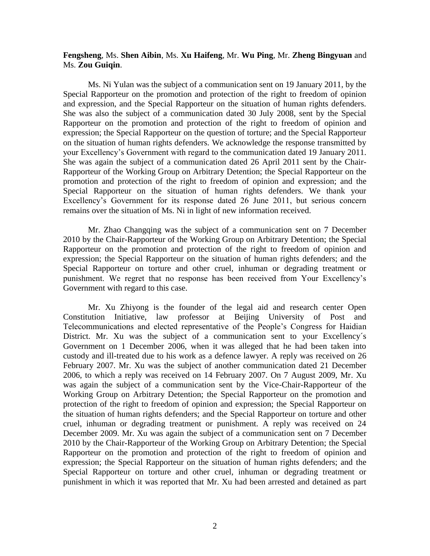**Fengsheng**, Ms. **Shen Aibin**, Ms. **Xu Haifeng**, Mr. **Wu Ping**, Mr. **Zheng Bingyuan** and Ms. **Zou Guiqin**.

Ms. Ni Yulan was the subject of a communication sent on 19 January 2011, by the Special Rapporteur on the promotion and protection of the right to freedom of opinion and expression, and the Special Rapporteur on the situation of human rights defenders. She was also the subject of a communication dated 30 July 2008, sent by the Special Rapporteur on the promotion and protection of the right to freedom of opinion and expression; the Special Rapporteur on the question of torture; and the Special Rapporteur on the situation of human rights defenders. We acknowledge the response transmitted by your Excellency's Government with regard to the communication dated 19 January 2011. She was again the subject of a communication dated 26 April 2011 sent by the Chair-Rapporteur of the Working Group on Arbitrary Detention; the Special Rapporteur on the promotion and protection of the right to freedom of opinion and expression; and the Special Rapporteur on the situation of human rights defenders. We thank your Excellency's Government for its response dated 26 June 2011, but serious concern remains over the situation of Ms. Ni in light of new information received.

Mr. Zhao Changqing was the subject of a communication sent on 7 December 2010 by the Chair-Rapporteur of the Working Group on Arbitrary Detention; the Special Rapporteur on the promotion and protection of the right to freedom of opinion and expression; the Special Rapporteur on the situation of human rights defenders; and the Special Rapporteur on torture and other cruel, inhuman or degrading treatment or punishment. We regret that no response has been received from Your Excellency's Government with regard to this case.

Mr. Xu Zhiyong is the founder of the legal aid and research center Open Constitution Initiative, law professor at Beijing University of Post and Telecommunications and elected representative of the People's Congress for Haidian District. Mr. Xu was the subject of a communication sent to your Excellency's Government on 1 December 2006, when it was alleged that he had been taken into custody and ill-treated due to his work as a defence lawyer. A reply was received on 26 February 2007. Mr. Xu was the subject of another communication dated 21 December 2006, to which a reply was received on 14 February 2007. On 7 August 2009, Mr. Xu was again the subject of a communication sent by the Vice-Chair-Rapporteur of the Working Group on Arbitrary Detention; the Special Rapporteur on the promotion and protection of the right to freedom of opinion and expression; the Special Rapporteur on the situation of human rights defenders; and the Special Rapporteur on torture and other cruel, inhuman or degrading treatment or punishment. A reply was received on 24 December 2009. Mr. Xu was again the subject of a communication sent on 7 December 2010 by the Chair-Rapporteur of the Working Group on Arbitrary Detention; the Special Rapporteur on the promotion and protection of the right to freedom of opinion and expression; the Special Rapporteur on the situation of human rights defenders; and the Special Rapporteur on torture and other cruel, inhuman or degrading treatment or punishment in which it was reported that Mr. Xu had been arrested and detained as part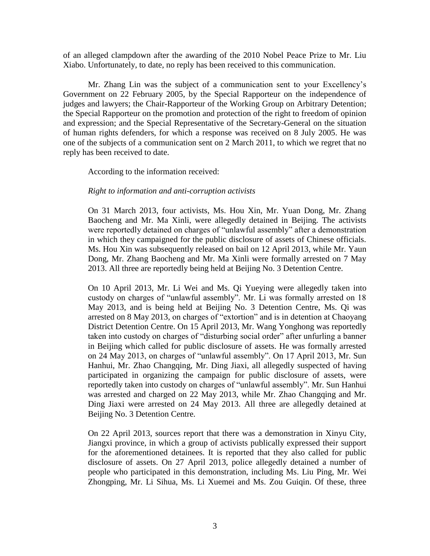of an alleged clampdown after the awarding of the 2010 Nobel Peace Prize to Mr. Liu Xiabo. Unfortunately, to date, no reply has been received to this communication.

Mr. Zhang Lin was the subject of a communication sent to your Excellency's Government on 22 February 2005, by the Special Rapporteur on the independence of judges and lawyers; the Chair-Rapporteur of the Working Group on Arbitrary Detention; the Special Rapporteur on the promotion and protection of the right to freedom of opinion and expression; and the Special Representative of the Secretary-General on the situation of human rights defenders, for which a response was received on 8 July 2005. He was one of the subjects of a communication sent on 2 March 2011, to which we regret that no reply has been received to date.

According to the information received:

## *Right to information and anti-corruption activists*

On 31 March 2013, four activists, Ms. Hou Xin, Mr. Yuan Dong, Mr. Zhang Baocheng and Mr. Ma Xinli, were allegedly detained in Beijing. The activists were reportedly detained on charges of "unlawful assembly" after a demonstration in which they campaigned for the public disclosure of assets of Chinese officials. Ms. Hou Xin was subsequently released on bail on 12 April 2013, while Mr. Yaun Dong, Mr. Zhang Baocheng and Mr. Ma Xinli were formally arrested on 7 May 2013. All three are reportedly being held at Beijing No. 3 Detention Centre.

On 10 April 2013, Mr. Li Wei and Ms. Qi Yueying were allegedly taken into custody on charges of "unlawful assembly". Mr. Li was formally arrested on 18 May 2013, and is being held at Beijing No. 3 Detention Centre, Ms. Qi was arrested on 8 May 2013, on charges of "extortion" and is in detention at Chaoyang District Detention Centre. On 15 April 2013, Mr. Wang Yonghong was reportedly taken into custody on charges of "disturbing social order" after unfurling a banner in Beijing which called for public disclosure of assets. He was formally arrested on 24 May 2013, on charges of "unlawful assembly". On 17 April 2013, Mr. Sun Hanhui, Mr. Zhao Changqing, Mr. Ding Jiaxi, all allegedly suspected of having participated in organizing the campaign for public disclosure of assets, were reportedly taken into custody on charges of "unlawful assembly". Mr. Sun Hanhui was arrested and charged on 22 May 2013, while Mr. Zhao Changqing and Mr. Ding Jiaxi were arrested on 24 May 2013. All three are allegedly detained at Beijing No. 3 Detention Centre.

On 22 April 2013, sources report that there was a demonstration in Xinyu City, Jiangxi province, in which a group of activists publically expressed their support for the aforementioned detainees. It is reported that they also called for public disclosure of assets. On 27 April 2013, police allegedly detained a number of people who participated in this demonstration, including Ms. Liu Ping, Mr. Wei Zhongping, Mr. Li Sihua, Ms. Li Xuemei and Ms. Zou Guiqin. Of these, three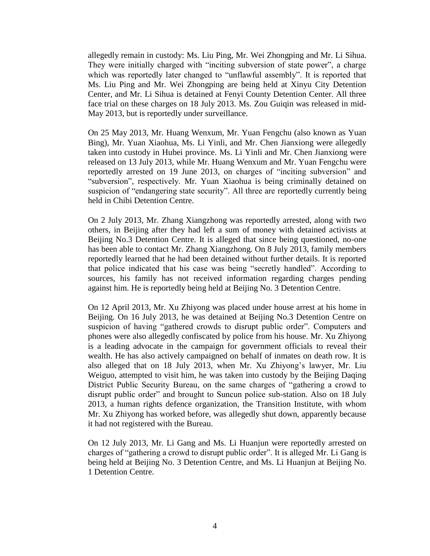allegedly remain in custody: Ms. Liu Ping, Mr. Wei Zhongping and Mr. Li Sihua. They were initially charged with "inciting subversion of state power", a charge which was reportedly later changed to "unflawful assembly". It is reported that Ms. Liu Ping and Mr. Wei Zhongping are being held at Xinyu City Detention Center, and Mr. Li Sihua is detained at Fenyi County Detention Center. All three face trial on these charges on 18 July 2013. Ms. Zou Guiqin was released in mid-May 2013, but is reportedly under surveillance.

On 25 May 2013, Mr. Huang Wenxum, Mr. Yuan Fengchu (also known as Yuan Bing), Mr. Yuan Xiaohua, Ms. Li Yinli, and Mr. Chen Jianxiong were allegedly taken into custody in Hubei province. Ms. Li Yinli and Mr. Chen Jianxiong were released on 13 July 2013, while Mr. Huang Wenxum and Mr. Yuan Fengchu were reportedly arrested on 19 June 2013, on charges of "inciting subversion" and "subversion", respectively. Mr. Yuan Xiaohua is being criminally detained on suspicion of "endangering state security". All three are reportedly currently being held in Chibi Detention Centre.

On 2 July 2013, Mr. Zhang Xiangzhong was reportedly arrested, along with two others, in Beijing after they had left a sum of money with detained activists at Beijing No.3 Detention Centre. It is alleged that since being questioned, no-one has been able to contact Mr. Zhang Xiangzhong. On 8 July 2013, family members reportedly learned that he had been detained without further details. It is reported that police indicated that his case was being "secretly handled". According to sources, his family has not received information regarding charges pending against him. He is reportedly being held at Beijing No. 3 Detention Centre.

On 12 April 2013, Mr. Xu Zhiyong was placed under house arrest at his home in Beijing. On 16 July 2013, he was detained at Beijing No.3 Detention Centre on suspicion of having "gathered crowds to disrupt public order". Computers and phones were also allegedly confiscated by police from his house. Mr. Xu Zhiyong is a leading advocate in the campaign for government officials to reveal their wealth. He has also actively campaigned on behalf of inmates on death row. It is also alleged that on 18 July 2013, when Mr. Xu Zhiyong's lawyer, Mr. Liu Weiguo, attempted to visit him, he was taken into custody by the Beijing Daqing District Public Security Bureau, on the same charges of "gathering a crowd to disrupt public order" and brought to Suncun police sub-station. Also on 18 July 2013, a human rights defence organization, the Transition Institute, with whom Mr. Xu Zhiyong has worked before, was allegedly shut down, apparently because it had not registered with the Bureau.

On 12 July 2013, Mr. Li Gang and Ms. Li Huanjun were reportedly arrested on charges of "gathering a crowd to disrupt public order". It is alleged Mr. Li Gang is being held at Beijing No. 3 Detention Centre, and Ms. Li Huanjun at Beijing No. 1 Detention Centre.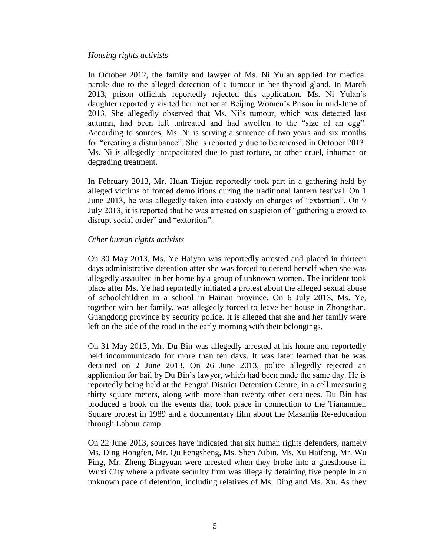## *Housing rights activists*

In October 2012, the family and lawyer of Ms. Ni Yulan applied for medical parole due to the alleged detection of a tumour in her thyroid gland. In March 2013, prison officials reportedly rejected this application. Ms. Ni Yulan's daughter reportedly visited her mother at Beijing Women's Prison in mid-June of 2013. She allegedly observed that Ms. Ni's tumour, which was detected last autumn, had been left untreated and had swollen to the "size of an egg". According to sources, Ms. Ni is serving a sentence of two years and six months for "creating a disturbance". She is reportedly due to be released in October 2013. Ms. Ni is allegedly incapacitated due to past torture, or other cruel, inhuman or degrading treatment.

In February 2013, Mr. Huan Tiejun reportedly took part in a gathering held by alleged victims of forced demolitions during the traditional lantern festival. On 1 June 2013, he was allegedly taken into custody on charges of "extortion". On 9 July 2013, it is reported that he was arrested on suspicion of "gathering a crowd to disrupt social order" and "extortion".

## *Other human rights activists*

On 30 May 2013, Ms. Ye Haiyan was reportedly arrested and placed in thirteen days administrative detention after she was forced to defend herself when she was allegedly assaulted in her home by a group of unknown women. The incident took place after Ms. Ye had reportedly initiated a protest about the alleged sexual abuse of schoolchildren in a school in Hainan province. On 6 July 2013, Ms. Ye, together with her family, was allegedly forced to leave her house in Zhongshan, Guangdong province by security police. It is alleged that she and her family were left on the side of the road in the early morning with their belongings.

On 31 May 2013, Mr. Du Bin was allegedly arrested at his home and reportedly held incommunicado for more than ten days. It was later learned that he was detained on 2 June 2013. On 26 June 2013, police allegedly rejected an application for bail by Du Bin's lawyer, which had been made the same day. He is reportedly being held at the Fengtai District Detention Centre, in a cell measuring thirty square meters, along with more than twenty other detainees. Du Bin has produced a book on the events that took place in connection to the Tiananmen Square protest in 1989 and a documentary film about the Masanjia Re-education through Labour camp.

On 22 June 2013, sources have indicated that six human rights defenders, namely Ms. Ding Hongfen, Mr. Qu Fengsheng, Ms. Shen Aibin, Ms. Xu Haifeng, Mr. Wu Ping, Mr. Zheng Bingyuan were arrested when they broke into a guesthouse in Wuxi City where a private security firm was illegally detaining five people in an unknown pace of detention, including relatives of Ms. Ding and Ms. Xu. As they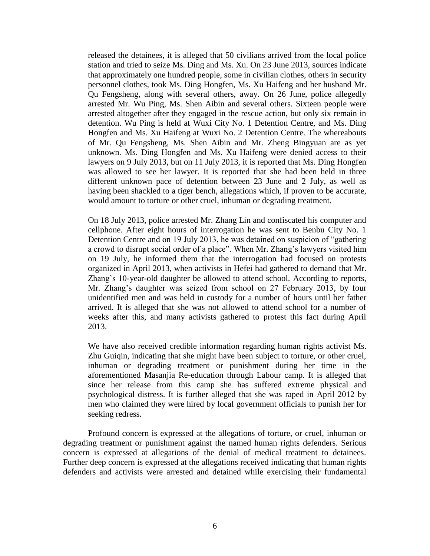released the detainees, it is alleged that 50 civilians arrived from the local police station and tried to seize Ms. Ding and Ms. Xu. On 23 June 2013, sources indicate that approximately one hundred people, some in civilian clothes, others in security personnel clothes, took Ms. Ding Hongfen, Ms. Xu Haifeng and her husband Mr. Qu Fengsheng, along with several others, away. On 26 June, police allegedly arrested Mr. Wu Ping, Ms. Shen Aibin and several others. Sixteen people were arrested altogether after they engaged in the rescue action, but only six remain in detention. Wu Ping is held at Wuxi City No. 1 Detention Centre, and Ms. Ding Hongfen and Ms. Xu Haifeng at Wuxi No. 2 Detention Centre. The whereabouts of Mr. Qu Fengsheng, Ms. Shen Aibin and Mr. Zheng Bingyuan are as yet unknown. Ms. Ding Hongfen and Ms. Xu Haifeng were denied access to their lawyers on 9 July 2013, but on 11 July 2013, it is reported that Ms. Ding Hongfen was allowed to see her lawyer. It is reported that she had been held in three different unknown pace of detention between 23 June and 2 July, as well as having been shackled to a tiger bench, allegations which, if proven to be accurate, would amount to torture or other cruel, inhuman or degrading treatment.

On 18 July 2013, police arrested Mr. Zhang Lin and confiscated his computer and cellphone. After eight hours of interrogation he was sent to Benbu City No. 1 Detention Centre and on 19 July 2013, he was detained on suspicion of "gathering a crowd to disrupt social order of a place". When Mr. Zhang's lawyers visited him on 19 July, he informed them that the interrogation had focused on protests organized in April 2013, when activists in Hefei had gathered to demand that Mr. Zhang's 10-year-old daughter be allowed to attend school. According to reports, Mr. Zhang's daughter was seized from school on 27 February 2013, by four unidentified men and was held in custody for a number of hours until her father arrived. It is alleged that she was not allowed to attend school for a number of weeks after this, and many activists gathered to protest this fact during April 2013.

We have also received credible information regarding human rights activist Ms. Zhu Guiqin, indicating that she might have been subject to torture, or other cruel, inhuman or degrading treatment or punishment during her time in the aforementioned Masanjia Re-education through Labour camp. It is alleged that since her release from this camp she has suffered extreme physical and psychological distress. It is further alleged that she was raped in April 2012 by men who claimed they were hired by local government officials to punish her for seeking redress.

Profound concern is expressed at the allegations of torture, or cruel, inhuman or degrading treatment or punishment against the named human rights defenders. Serious concern is expressed at allegations of the denial of medical treatment to detainees. Further deep concern is expressed at the allegations received indicating that human rights defenders and activists were arrested and detained while exercising their fundamental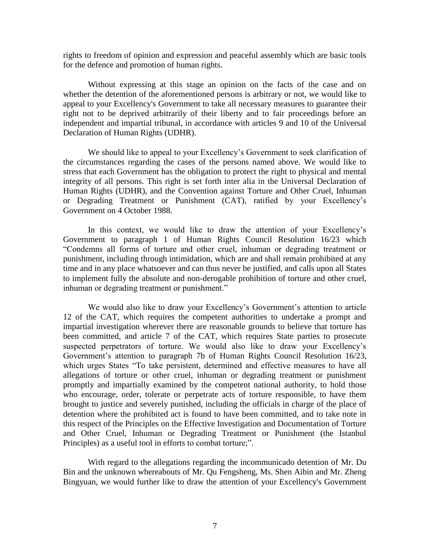rights to freedom of opinion and expression and peaceful assembly which are basic tools for the defence and promotion of human rights.

Without expressing at this stage an opinion on the facts of the case and on whether the detention of the aforementioned persons is arbitrary or not, we would like to appeal to your Excellency's Government to take all necessary measures to guarantee their right not to be deprived arbitrarily of their liberty and to fair proceedings before an independent and impartial tribunal, in accordance with articles 9 and 10 of the Universal Declaration of Human Rights (UDHR).

We should like to appeal to your Excellency's Government to seek clarification of the circumstances regarding the cases of the persons named above. We would like to stress that each Government has the obligation to protect the right to physical and mental integrity of all persons. This right is set forth inter alia in the Universal Declaration of Human Rights (UDHR), and the Convention against Torture and Other Cruel, Inhuman or Degrading Treatment or Punishment (CAT), ratified by your Excellency's Government on 4 October 1988.

In this context, we would like to draw the attention of your Excellency's Government to paragraph 1 of Human Rights Council Resolution 16/23 which "Condemns all forms of torture and other cruel, inhuman or degrading treatment or punishment, including through intimidation, which are and shall remain prohibited at any time and in any place whatsoever and can thus never be justified, and calls upon all States to implement fully the absolute and non-derogable prohibition of torture and other cruel, inhuman or degrading treatment or punishment."

We would also like to draw your Excellency's Government's attention to article 12 of the CAT, which requires the competent authorities to undertake a prompt and impartial investigation wherever there are reasonable grounds to believe that torture has been committed, and article 7 of the CAT, which requires State parties to prosecute suspected perpetrators of torture. We would also like to draw your Excellency's Government's attention to paragraph 7b of Human Rights Council Resolution 16/23, which urges States "To take persistent, determined and effective measures to have all allegations of torture or other cruel, inhuman or degrading treatment or punishment promptly and impartially examined by the competent national authority, to hold those who encourage, order, tolerate or perpetrate acts of torture responsible, to have them brought to justice and severely punished, including the officials in charge of the place of detention where the prohibited act is found to have been committed, and to take note in this respect of the Principles on the Effective Investigation and Documentation of Torture and Other Cruel, Inhuman or Degrading Treatment or Punishment (the Istanbul Principles) as a useful tool in efforts to combat torture;".

With regard to the allegations regarding the incommunicado detention of Mr. Du Bin and the unknown whereabouts of Mr. Qu Fengsheng, Ms. Shen Aibin and Mr. Zheng Bingyuan, we would further like to draw the attention of your Excellency's Government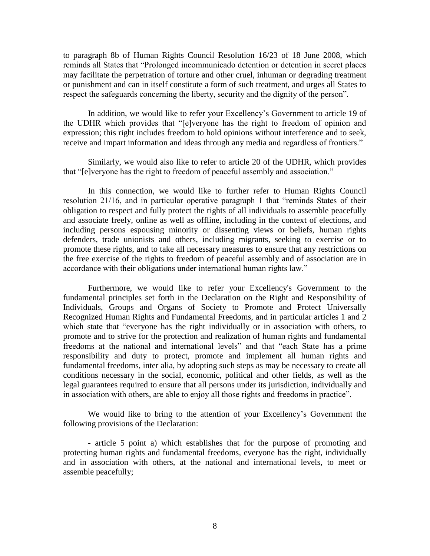to paragraph 8b of Human Rights Council Resolution 16/23 of 18 June 2008, which reminds all States that "Prolonged incommunicado detention or detention in secret places may facilitate the perpetration of torture and other cruel, inhuman or degrading treatment or punishment and can in itself constitute a form of such treatment, and urges all States to respect the safeguards concerning the liberty, security and the dignity of the person".

In addition, we would like to refer your Excellency's Government to article 19 of the UDHR which provides that "[e]veryone has the right to freedom of opinion and expression; this right includes freedom to hold opinions without interference and to seek, receive and impart information and ideas through any media and regardless of frontiers."

Similarly, we would also like to refer to article 20 of the UDHR, which provides that "[e]veryone has the right to freedom of peaceful assembly and association."

In this connection, we would like to further refer to Human Rights Council resolution 21/16, and in particular operative paragraph 1 that "reminds States of their obligation to respect and fully protect the rights of all individuals to assemble peacefully and associate freely, online as well as offline, including in the context of elections, and including persons espousing minority or dissenting views or beliefs, human rights defenders, trade unionists and others, including migrants, seeking to exercise or to promote these rights, and to take all necessary measures to ensure that any restrictions on the free exercise of the rights to freedom of peaceful assembly and of association are in accordance with their obligations under international human rights law."

Furthermore, we would like to refer your Excellency's Government to the fundamental principles set forth in the Declaration on the Right and Responsibility of Individuals, Groups and Organs of Society to Promote and Protect Universally Recognized Human Rights and Fundamental Freedoms, and in particular articles 1 and 2 which state that "everyone has the right individually or in association with others, to promote and to strive for the protection and realization of human rights and fundamental freedoms at the national and international levels" and that "each State has a prime responsibility and duty to protect, promote and implement all human rights and fundamental freedoms, inter alia, by adopting such steps as may be necessary to create all conditions necessary in the social, economic, political and other fields, as well as the legal guarantees required to ensure that all persons under its jurisdiction, individually and in association with others, are able to enjoy all those rights and freedoms in practice".

We would like to bring to the attention of your Excellency's Government the following provisions of the Declaration:

- article 5 point a) which establishes that for the purpose of promoting and protecting human rights and fundamental freedoms, everyone has the right, individually and in association with others, at the national and international levels, to meet or assemble peacefully;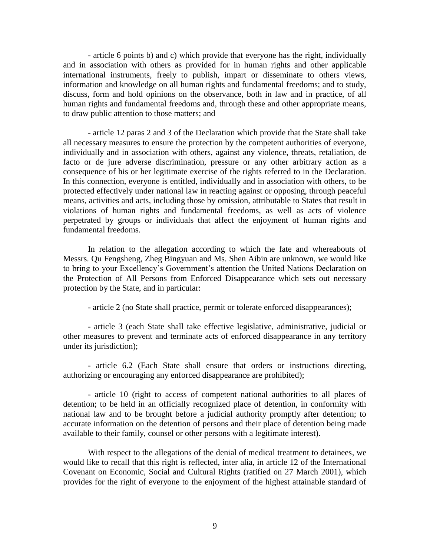- article 6 points b) and c) which provide that everyone has the right, individually and in association with others as provided for in human rights and other applicable international instruments, freely to publish, impart or disseminate to others views, information and knowledge on all human rights and fundamental freedoms; and to study, discuss, form and hold opinions on the observance, both in law and in practice, of all human rights and fundamental freedoms and, through these and other appropriate means, to draw public attention to those matters; and

- article 12 paras 2 and 3 of the Declaration which provide that the State shall take all necessary measures to ensure the protection by the competent authorities of everyone, individually and in association with others, against any violence, threats, retaliation, de facto or de jure adverse discrimination, pressure or any other arbitrary action as a consequence of his or her legitimate exercise of the rights referred to in the Declaration. In this connection, everyone is entitled, individually and in association with others, to be protected effectively under national law in reacting against or opposing, through peaceful means, activities and acts, including those by omission, attributable to States that result in violations of human rights and fundamental freedoms, as well as acts of violence perpetrated by groups or individuals that affect the enjoyment of human rights and fundamental freedoms.

In relation to the allegation according to which the fate and whereabouts of Messrs. Qu Fengsheng, Zheg Bingyuan and Ms. Shen Aibin are unknown, we would like to bring to your Excellency's Government's attention the United Nations Declaration on the Protection of All Persons from Enforced Disappearance which sets out necessary protection by the State, and in particular:

- article 2 (no State shall practice, permit or tolerate enforced disappearances);

- article 3 (each State shall take effective legislative, administrative, judicial or other measures to prevent and terminate acts of enforced disappearance in any territory under its jurisdiction);

- article 6.2 (Each State shall ensure that orders or instructions directing, authorizing or encouraging any enforced disappearance are prohibited);

- article 10 (right to access of competent national authorities to all places of detention; to be held in an officially recognized place of detention, in conformity with national law and to be brought before a judicial authority promptly after detention; to accurate information on the detention of persons and their place of detention being made available to their family, counsel or other persons with a legitimate interest).

With respect to the allegations of the denial of medical treatment to detainees, we would like to recall that this right is reflected, inter alia, in article 12 of the International Covenant on Economic, Social and Cultural Rights (ratified on 27 March 2001), which provides for the right of everyone to the enjoyment of the highest attainable standard of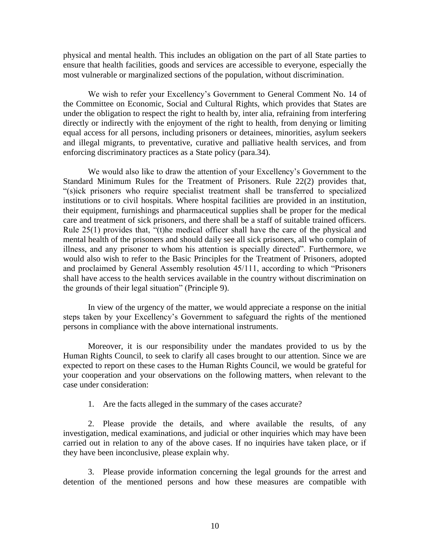physical and mental health. This includes an obligation on the part of all State parties to ensure that health facilities, goods and services are accessible to everyone, especially the most vulnerable or marginalized sections of the population, without discrimination.

We wish to refer your Excellency's Government to General Comment No. 14 of the Committee on Economic, Social and Cultural Rights, which provides that States are under the obligation to respect the right to health by, inter alia, refraining from interfering directly or indirectly with the enjoyment of the right to health, from denying or limiting equal access for all persons, including prisoners or detainees, minorities, asylum seekers and illegal migrants, to preventative, curative and palliative health services, and from enforcing discriminatory practices as a State policy (para.34).

We would also like to draw the attention of your Excellency's Government to the Standard Minimum Rules for the Treatment of Prisoners. Rule 22(2) provides that, "(s)ick prisoners who require specialist treatment shall be transferred to specialized institutions or to civil hospitals. Where hospital facilities are provided in an institution, their equipment, furnishings and pharmaceutical supplies shall be proper for the medical care and treatment of sick prisoners, and there shall be a staff of suitable trained officers. Rule 25(1) provides that, "(t)he medical officer shall have the care of the physical and mental health of the prisoners and should daily see all sick prisoners, all who complain of illness, and any prisoner to whom his attention is specially directed". Furthermore, we would also wish to refer to the Basic Principles for the Treatment of Prisoners, adopted and proclaimed by General Assembly resolution 45/111, according to which "Prisoners shall have access to the health services available in the country without discrimination on the grounds of their legal situation" (Principle 9).

In view of the urgency of the matter, we would appreciate a response on the initial steps taken by your Excellency's Government to safeguard the rights of the mentioned persons in compliance with the above international instruments.

Moreover, it is our responsibility under the mandates provided to us by the Human Rights Council, to seek to clarify all cases brought to our attention. Since we are expected to report on these cases to the Human Rights Council, we would be grateful for your cooperation and your observations on the following matters, when relevant to the case under consideration:

1. Are the facts alleged in the summary of the cases accurate?

2. Please provide the details, and where available the results, of any investigation, medical examinations, and judicial or other inquiries which may have been carried out in relation to any of the above cases. If no inquiries have taken place, or if they have been inconclusive, please explain why.

3. Please provide information concerning the legal grounds for the arrest and detention of the mentioned persons and how these measures are compatible with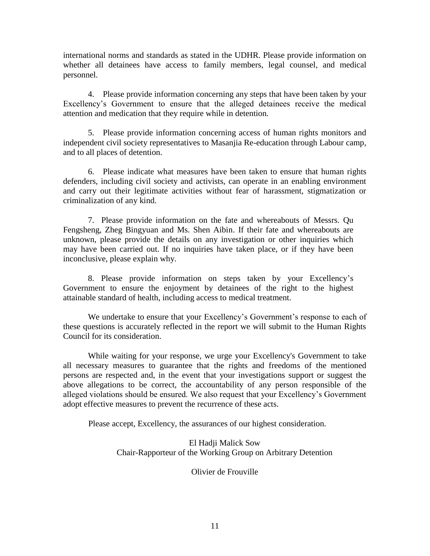international norms and standards as stated in the UDHR. Please provide information on whether all detainees have access to family members, legal counsel, and medical personnel.

4. Please provide information concerning any steps that have been taken by your Excellency's Government to ensure that the alleged detainees receive the medical attention and medication that they require while in detention.

5. Please provide information concerning access of human rights monitors and independent civil society representatives to Masanjia Re-education through Labour camp, and to all places of detention.

6. Please indicate what measures have been taken to ensure that human rights defenders, including civil society and activists, can operate in an enabling environment and carry out their legitimate activities without fear of harassment, stigmatization or criminalization of any kind.

7. Please provide information on the fate and whereabouts of Messrs. Qu Fengsheng, Zheg Bingyuan and Ms. Shen Aibin. If their fate and whereabouts are unknown, please provide the details on any investigation or other inquiries which may have been carried out. If no inquiries have taken place, or if they have been inconclusive, please explain why.

8. Please provide information on steps taken by your Excellency's Government to ensure the enjoyment by detainees of the right to the highest attainable standard of health, including access to medical treatment.

We undertake to ensure that your Excellency's Government's response to each of these questions is accurately reflected in the report we will submit to the Human Rights Council for its consideration.

While waiting for your response, we urge your Excellency's Government to take all necessary measures to guarantee that the rights and freedoms of the mentioned persons are respected and, in the event that your investigations support or suggest the above allegations to be correct, the accountability of any person responsible of the alleged violations should be ensured. We also request that your Excellency's Government adopt effective measures to prevent the recurrence of these acts.

Please accept, Excellency, the assurances of our highest consideration.

El Hadji Malick Sow Chair-Rapporteur of the Working Group on Arbitrary Detention

Olivier de Frouville